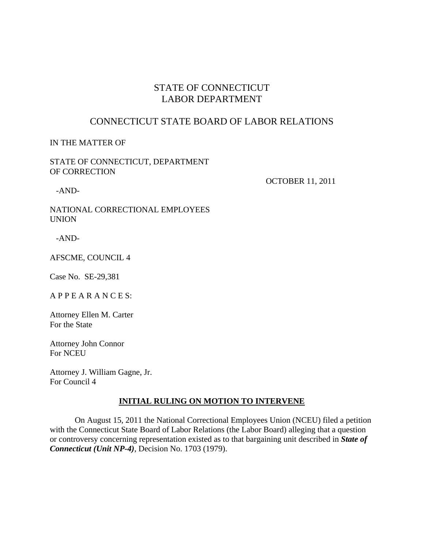# STATE OF CONNECTICUT LABOR DEPARTMENT

## CONNECTICUT STATE BOARD OF LABOR RELATIONS

#### IN THE MATTER OF

#### STATE OF CONNECTICUT, DEPARTMENT OF CORRECTION

-AND-

OCTOBER 11, 2011

NATIONAL CORRECTIONAL EMPLOYEES UNION

-AND-

AFSCME, COUNCIL 4

Case No. SE-29,381

A P P E A R A N C E S:

Attorney Ellen M. Carter For the State

Attorney John Connor For NCEU

Attorney J. William Gagne, Jr. For Council 4

#### **INITIAL RULING ON MOTION TO INTERVENE**

 On August 15, 2011 the National Correctional Employees Union (NCEU) filed a petition with the Connecticut State Board of Labor Relations (the Labor Board) alleging that a question or controversy concerning representation existed as to that bargaining unit described in *State of Connecticut (Unit NP-4)*, Decision No. 1703 (1979).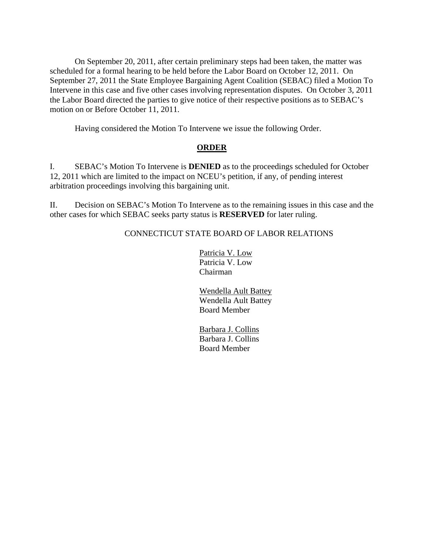On September 20, 2011, after certain preliminary steps had been taken, the matter was scheduled for a formal hearing to be held before the Labor Board on October 12, 2011. On September 27, 2011 the State Employee Bargaining Agent Coalition (SEBAC) filed a Motion To Intervene in this case and five other cases involving representation disputes. On October 3, 2011 the Labor Board directed the parties to give notice of their respective positions as to SEBAC's motion on or Before October 11, 2011.

Having considered the Motion To Intervene we issue the following Order.

### **ORDER**

I. SEBAC's Motion To Intervene is **DENIED** as to the proceedings scheduled for October 12, 2011 which are limited to the impact on NCEU's petition, if any, of pending interest arbitration proceedings involving this bargaining unit.

II. Decision on SEBAC's Motion To Intervene as to the remaining issues in this case and the other cases for which SEBAC seeks party status is **RESERVED** for later ruling.

### CONNECTICUT STATE BOARD OF LABOR RELATIONS

 Patricia V. Low Patricia V. Low Chairman

 Wendella Ault Battey Wendella Ault Battey Board Member

 Barbara J. Collins Barbara J. Collins Board Member